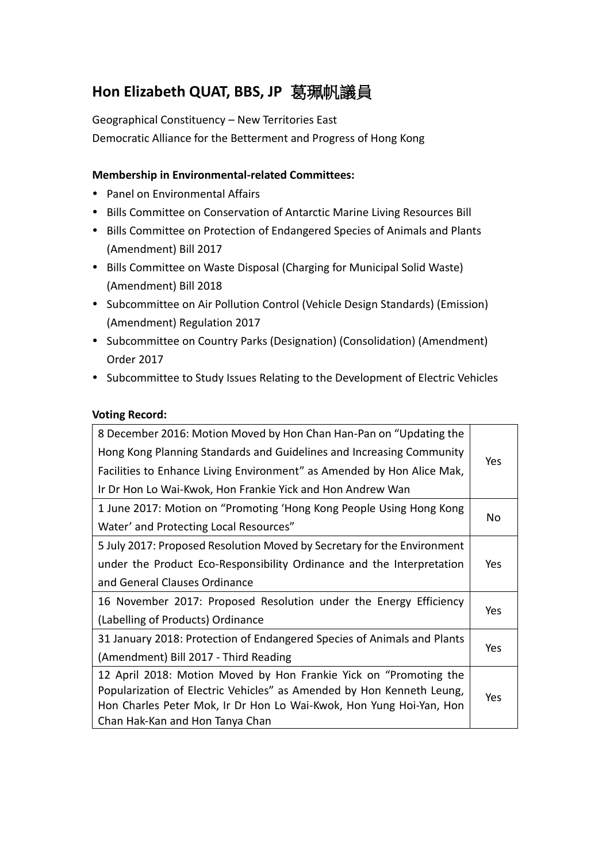# **Hon Elizabeth QUAT, BBS, JP** 葛珮帆議員

Geographical Constituency – New Territories East Democratic Alliance for the Betterment and Progress of Hong Kong

### **Membership in Environmental-related Committees:**

- Panel on Environmental Affairs
- Bills Committee on Conservation of Antarctic Marine Living Resources Bill
- Bills Committee on Protection of Endangered Species of Animals and Plants (Amendment) Bill 2017
- Bills Committee on Waste Disposal (Charging for Municipal Solid Waste) (Amendment) Bill 2018
- Subcommittee on Air Pollution Control (Vehicle Design Standards) (Emission) (Amendment) Regulation 2017
- Subcommittee on Country Parks (Designation) (Consolidation) (Amendment) Order 2017
- Subcommittee to Study Issues Relating to the Development of Electric Vehicles

#### **Voting Record:**

| 8 December 2016: Motion Moved by Hon Chan Han-Pan on "Updating the      |            |
|-------------------------------------------------------------------------|------------|
| Hong Kong Planning Standards and Guidelines and Increasing Community    | <b>Yes</b> |
| Facilities to Enhance Living Environment" as Amended by Hon Alice Mak,  |            |
| Ir Dr Hon Lo Wai-Kwok, Hon Frankie Yick and Hon Andrew Wan              |            |
| 1 June 2017: Motion on "Promoting 'Hong Kong People Using Hong Kong     |            |
| Water' and Protecting Local Resources"                                  | No         |
| 5 July 2017: Proposed Resolution Moved by Secretary for the Environment |            |
| under the Product Eco-Responsibility Ordinance and the Interpretation   | Yes        |
| and General Clauses Ordinance                                           |            |
| 16 November 2017: Proposed Resolution under the Energy Efficiency       | Yes        |
| (Labelling of Products) Ordinance                                       |            |
| 31 January 2018: Protection of Endangered Species of Animals and Plants |            |
| (Amendment) Bill 2017 - Third Reading                                   | Yes        |
| 12 April 2018: Motion Moved by Hon Frankie Yick on "Promoting the       |            |
| Popularization of Electric Vehicles" as Amended by Hon Kenneth Leung,   | Yes        |
| Hon Charles Peter Mok, Ir Dr Hon Lo Wai-Kwok, Hon Yung Hoi-Yan, Hon     |            |
| Chan Hak-Kan and Hon Tanya Chan                                         |            |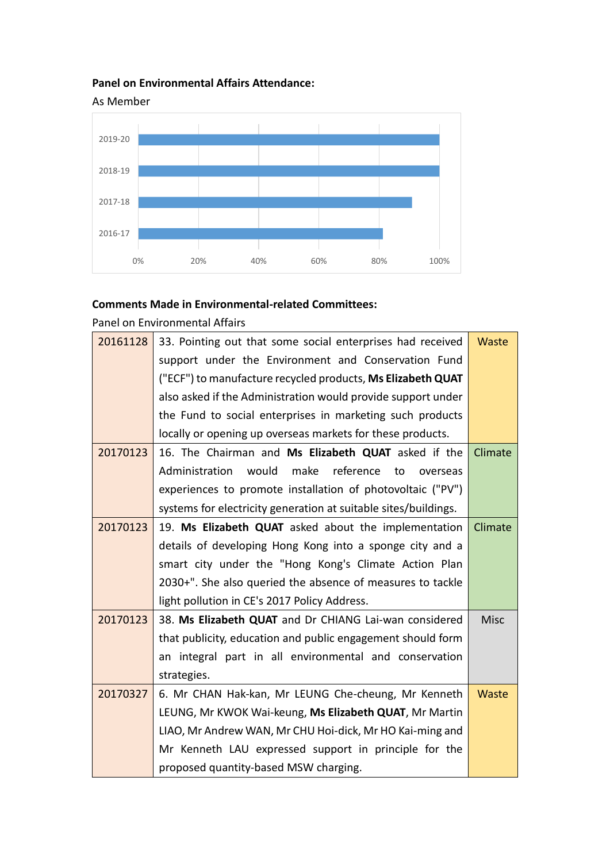## **Panel on Environmental Affairs Attendance:**



## **Comments Made in Environmental-related Committees:**

Panel on Environmental Affairs

| 20161128 | 33. Pointing out that some social enterprises had received      | Waste       |
|----------|-----------------------------------------------------------------|-------------|
|          | support under the Environment and Conservation Fund             |             |
|          | ("ECF") to manufacture recycled products, Ms Elizabeth QUAT     |             |
|          | also asked if the Administration would provide support under    |             |
|          | the Fund to social enterprises in marketing such products       |             |
|          | locally or opening up overseas markets for these products.      |             |
| 20170123 | 16. The Chairman and Ms Elizabeth QUAT asked if the             | Climate     |
|          | would<br>make reference<br>Administration<br>to<br>overseas     |             |
|          | experiences to promote installation of photovoltaic ("PV")      |             |
|          | systems for electricity generation at suitable sites/buildings. |             |
| 20170123 | 19. Ms Elizabeth QUAT asked about the implementation            | Climate     |
|          | details of developing Hong Kong into a sponge city and a        |             |
|          | smart city under the "Hong Kong's Climate Action Plan           |             |
|          | 2030+". She also queried the absence of measures to tackle      |             |
|          | light pollution in CE's 2017 Policy Address.                    |             |
| 20170123 | 38. Ms Elizabeth QUAT and Dr CHIANG Lai-wan considered          | <b>Misc</b> |
|          | that publicity, education and public engagement should form     |             |
|          | an integral part in all environmental and conservation          |             |
|          | strategies.                                                     |             |
| 20170327 | 6. Mr CHAN Hak-kan, Mr LEUNG Che-cheung, Mr Kenneth             | Waste       |
|          | LEUNG, Mr KWOK Wai-keung, Ms Elizabeth QUAT, Mr Martin          |             |
|          | LIAO, Mr Andrew WAN, Mr CHU Hoi-dick, Mr HO Kai-ming and        |             |
|          | Mr Kenneth LAU expressed support in principle for the           |             |
|          | proposed quantity-based MSW charging.                           |             |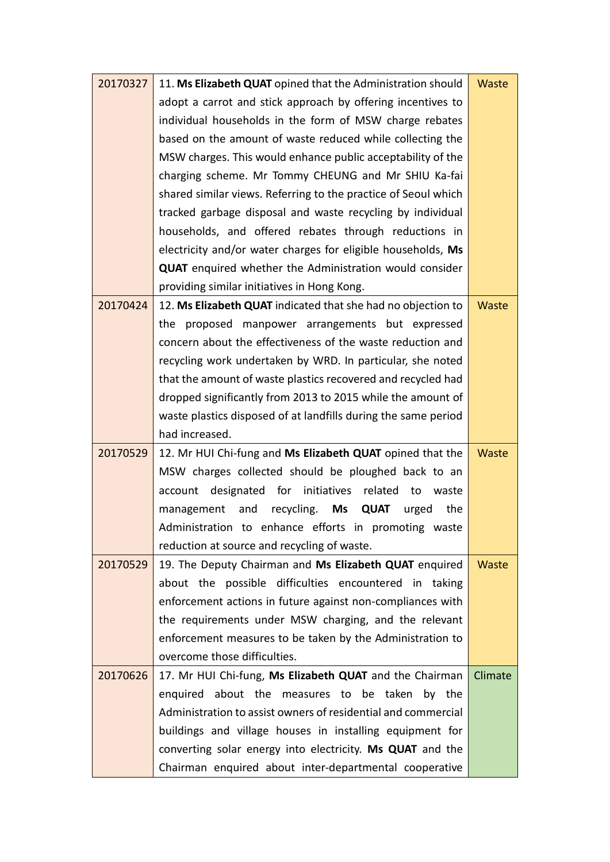| 20170327 | 11. Ms Elizabeth QUAT opined that the Administration should    | Waste        |
|----------|----------------------------------------------------------------|--------------|
|          | adopt a carrot and stick approach by offering incentives to    |              |
|          | individual households in the form of MSW charge rebates        |              |
|          | based on the amount of waste reduced while collecting the      |              |
|          | MSW charges. This would enhance public acceptability of the    |              |
|          | charging scheme. Mr Tommy CHEUNG and Mr SHIU Ka-fai            |              |
|          | shared similar views. Referring to the practice of Seoul which |              |
|          | tracked garbage disposal and waste recycling by individual     |              |
|          | households, and offered rebates through reductions in          |              |
|          | electricity and/or water charges for eligible households, Ms   |              |
|          | <b>QUAT</b> enquired whether the Administration would consider |              |
|          | providing similar initiatives in Hong Kong.                    |              |
| 20170424 | 12. Ms Elizabeth QUAT indicated that she had no objection to   | <b>Waste</b> |
|          | the proposed manpower arrangements but expressed               |              |
|          | concern about the effectiveness of the waste reduction and     |              |
|          | recycling work undertaken by WRD. In particular, she noted     |              |
|          | that the amount of waste plastics recovered and recycled had   |              |
|          | dropped significantly from 2013 to 2015 while the amount of    |              |
|          | waste plastics disposed of at landfills during the same period |              |
|          | had increased.                                                 |              |
| 20170529 | 12. Mr HUI Chi-fung and Ms Elizabeth QUAT opined that the      | <b>Waste</b> |
|          | MSW charges collected should be ploughed back to an            |              |
|          | account designated for initiatives related<br>to<br>waste      |              |
|          | recycling. Ms QUAT<br>and<br>urged<br>the<br>management        |              |
|          | Administration to enhance efforts in promoting waste           |              |
|          | reduction at source and recycling of waste.                    |              |
| 20170529 | 19. The Deputy Chairman and Ms Elizabeth QUAT enquired         | Waste        |
|          | about the possible difficulties encountered in taking          |              |
|          | enforcement actions in future against non-compliances with     |              |
|          | the requirements under MSW charging, and the relevant          |              |
|          | enforcement measures to be taken by the Administration to      |              |
|          | overcome those difficulties.                                   |              |
| 20170626 | 17. Mr HUI Chi-fung, Ms Elizabeth QUAT and the Chairman        | Climate      |
|          | enquired about the measures to be taken by the                 |              |
|          | Administration to assist owners of residential and commercial  |              |
|          | buildings and village houses in installing equipment for       |              |
|          | converting solar energy into electricity. Ms QUAT and the      |              |
|          | Chairman enquired about inter-departmental cooperative         |              |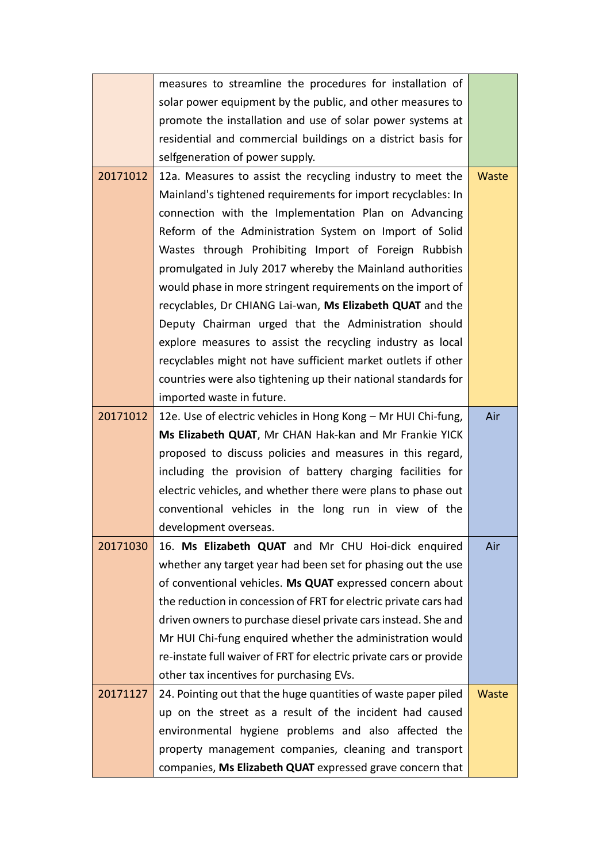|          | measures to streamline the procedures for installation of          |              |
|----------|--------------------------------------------------------------------|--------------|
|          | solar power equipment by the public, and other measures to         |              |
|          | promote the installation and use of solar power systems at         |              |
|          | residential and commercial buildings on a district basis for       |              |
|          | selfgeneration of power supply.                                    |              |
| 20171012 | 12a. Measures to assist the recycling industry to meet the         | <b>Waste</b> |
|          | Mainland's tightened requirements for import recyclables: In       |              |
|          | connection with the Implementation Plan on Advancing               |              |
|          | Reform of the Administration System on Import of Solid             |              |
|          | Wastes through Prohibiting Import of Foreign Rubbish               |              |
|          | promulgated in July 2017 whereby the Mainland authorities          |              |
|          | would phase in more stringent requirements on the import of        |              |
|          | recyclables, Dr CHIANG Lai-wan, Ms Elizabeth QUAT and the          |              |
|          | Deputy Chairman urged that the Administration should               |              |
|          | explore measures to assist the recycling industry as local         |              |
|          | recyclables might not have sufficient market outlets if other      |              |
|          | countries were also tightening up their national standards for     |              |
|          | imported waste in future.                                          |              |
| 20171012 | 12e. Use of electric vehicles in Hong Kong - Mr HUI Chi-fung,      | Air          |
|          | Ms Elizabeth QUAT, Mr CHAN Hak-kan and Mr Frankie YICK             |              |
|          | proposed to discuss policies and measures in this regard,          |              |
|          | including the provision of battery charging facilities for         |              |
|          | electric vehicles, and whether there were plans to phase out       |              |
|          | conventional vehicles in the long run in view of the               |              |
|          | development overseas.                                              |              |
| 20171030 | 16. Ms Elizabeth QUAT and Mr CHU Hoi-dick enquired                 | Air          |
|          | whether any target year had been set for phasing out the use       |              |
|          | of conventional vehicles. Ms QUAT expressed concern about          |              |
|          | the reduction in concession of FRT for electric private cars had   |              |
|          | driven owners to purchase diesel private cars instead. She and     |              |
|          | Mr HUI Chi-fung enquired whether the administration would          |              |
|          | re-instate full waiver of FRT for electric private cars or provide |              |
|          | other tax incentives for purchasing EVs.                           |              |
| 20171127 | 24. Pointing out that the huge quantities of waste paper piled     | <b>Waste</b> |
|          | up on the street as a result of the incident had caused            |              |
|          | environmental hygiene problems and also affected the               |              |
|          | property management companies, cleaning and transport              |              |
|          | companies, Ms Elizabeth QUAT expressed grave concern that          |              |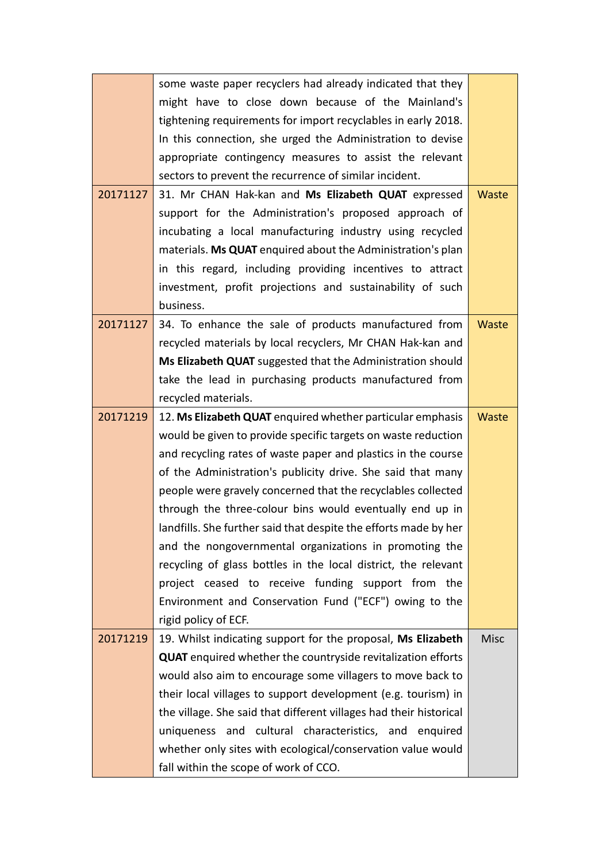|          | some waste paper recyclers had already indicated that they          |              |
|----------|---------------------------------------------------------------------|--------------|
|          | might have to close down because of the Mainland's                  |              |
|          | tightening requirements for import recyclables in early 2018.       |              |
|          | In this connection, she urged the Administration to devise          |              |
|          | appropriate contingency measures to assist the relevant             |              |
|          | sectors to prevent the recurrence of similar incident.              |              |
| 20171127 | 31. Mr CHAN Hak-kan and Ms Elizabeth QUAT expressed                 | Waste        |
|          | support for the Administration's proposed approach of               |              |
|          | incubating a local manufacturing industry using recycled            |              |
|          | materials. Ms QUAT enquired about the Administration's plan         |              |
|          | in this regard, including providing incentives to attract           |              |
|          | investment, profit projections and sustainability of such           |              |
|          | business.                                                           |              |
| 20171127 | 34. To enhance the sale of products manufactured from               | <b>Waste</b> |
|          | recycled materials by local recyclers, Mr CHAN Hak-kan and          |              |
|          | Ms Elizabeth QUAT suggested that the Administration should          |              |
|          | take the lead in purchasing products manufactured from              |              |
|          | recycled materials.                                                 |              |
| 20171219 | 12. Ms Elizabeth QUAT enquired whether particular emphasis          | <b>Waste</b> |
|          | would be given to provide specific targets on waste reduction       |              |
|          | and recycling rates of waste paper and plastics in the course       |              |
|          | of the Administration's publicity drive. She said that many         |              |
|          | people were gravely concerned that the recyclables collected        |              |
|          | through the three-colour bins would eventually end up in            |              |
|          | landfills. She further said that despite the efforts made by her    |              |
|          | and the nongovernmental organizations in promoting the              |              |
|          | recycling of glass bottles in the local district, the relevant      |              |
|          | project ceased to receive funding support from the                  |              |
|          | Environment and Conservation Fund ("ECF") owing to the              |              |
|          | rigid policy of ECF.                                                |              |
| 20171219 | 19. Whilst indicating support for the proposal, Ms Elizabeth        | <b>Misc</b>  |
|          | <b>QUAT</b> enquired whether the countryside revitalization efforts |              |
|          | would also aim to encourage some villagers to move back to          |              |
|          | their local villages to support development (e.g. tourism) in       |              |
|          | the village. She said that different villages had their historical  |              |
|          | uniqueness and cultural characteristics, and enquired               |              |
|          | whether only sites with ecological/conservation value would         |              |
|          | fall within the scope of work of CCO.                               |              |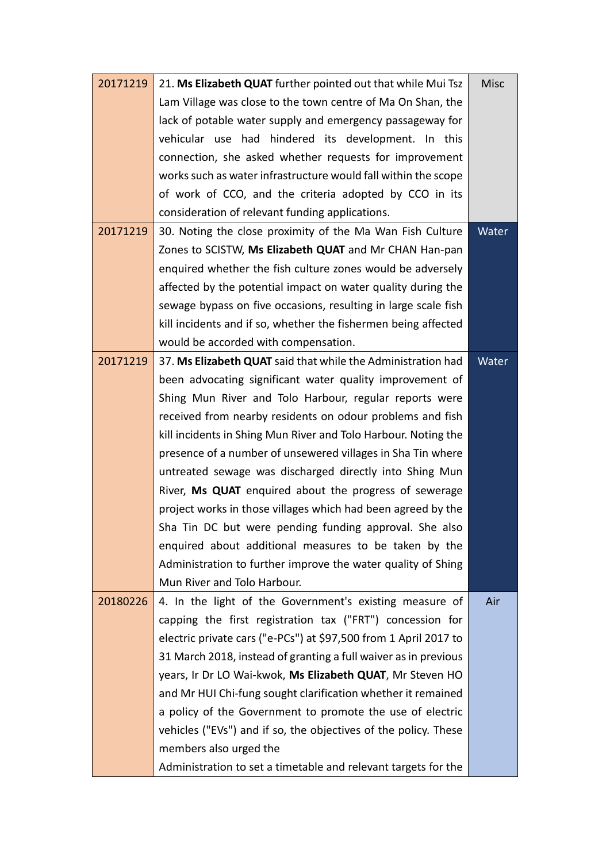| 20171219 | 21. Ms Elizabeth QUAT further pointed out that while Mui Tsz     | <b>Misc</b> |
|----------|------------------------------------------------------------------|-------------|
|          | Lam Village was close to the town centre of Ma On Shan, the      |             |
|          | lack of potable water supply and emergency passageway for        |             |
|          | vehicular use had hindered its development. In this              |             |
|          | connection, she asked whether requests for improvement           |             |
|          | works such as water infrastructure would fall within the scope   |             |
|          | of work of CCO, and the criteria adopted by CCO in its           |             |
|          | consideration of relevant funding applications.                  |             |
| 20171219 | 30. Noting the close proximity of the Ma Wan Fish Culture        | Water       |
|          | Zones to SCISTW, Ms Elizabeth QUAT and Mr CHAN Han-pan           |             |
|          | enquired whether the fish culture zones would be adversely       |             |
|          | affected by the potential impact on water quality during the     |             |
|          | sewage bypass on five occasions, resulting in large scale fish   |             |
|          | kill incidents and if so, whether the fishermen being affected   |             |
|          | would be accorded with compensation.                             |             |
| 20171219 | 37. Ms Elizabeth QUAT said that while the Administration had     | Water       |
|          | been advocating significant water quality improvement of         |             |
|          | Shing Mun River and Tolo Harbour, regular reports were           |             |
|          | received from nearby residents on odour problems and fish        |             |
|          | kill incidents in Shing Mun River and Tolo Harbour. Noting the   |             |
|          | presence of a number of unsewered villages in Sha Tin where      |             |
|          | untreated sewage was discharged directly into Shing Mun          |             |
|          | River, Ms QUAT enquired about the progress of sewerage           |             |
|          | project works in those villages which had been agreed by the     |             |
|          | Sha Tin DC but were pending funding approval. She also           |             |
|          | enquired about additional measures to be taken by the            |             |
|          | Administration to further improve the water quality of Shing     |             |
|          | Mun River and Tolo Harbour.                                      |             |
| 20180226 | 4. In the light of the Government's existing measure of          | Air         |
|          | capping the first registration tax ("FRT") concession for        |             |
|          | electric private cars ("e-PCs") at \$97,500 from 1 April 2017 to |             |
|          | 31 March 2018, instead of granting a full waiver as in previous  |             |
|          | years, Ir Dr LO Wai-kwok, Ms Elizabeth QUAT, Mr Steven HO        |             |
|          | and Mr HUI Chi-fung sought clarification whether it remained     |             |
|          | a policy of the Government to promote the use of electric        |             |
|          | vehicles ("EVs") and if so, the objectives of the policy. These  |             |
|          | members also urged the                                           |             |
|          | Administration to set a timetable and relevant targets for the   |             |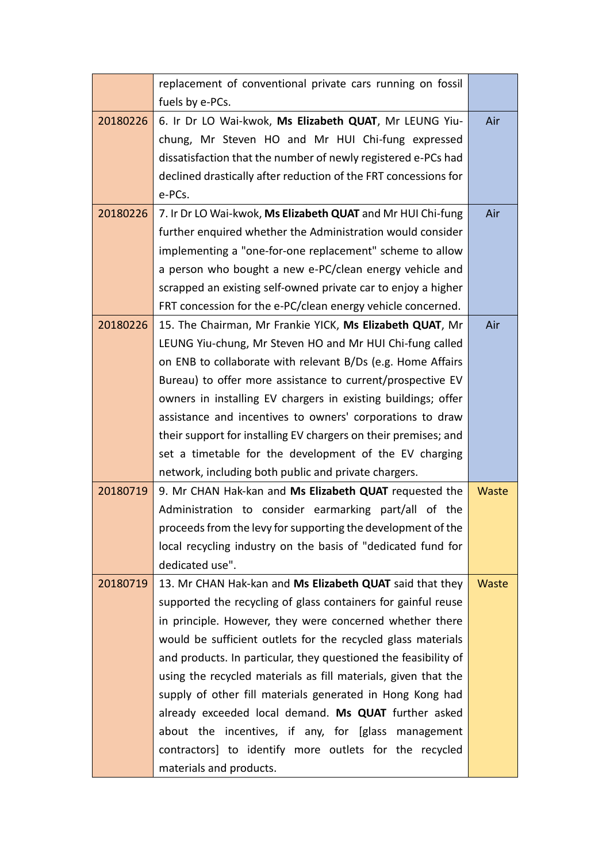|          | replacement of conventional private cars running on fossil      |              |
|----------|-----------------------------------------------------------------|--------------|
|          | fuels by e-PCs.                                                 |              |
| 20180226 | 6. Ir Dr LO Wai-kwok, Ms Elizabeth QUAT, Mr LEUNG Yiu-          | Air          |
|          | chung, Mr Steven HO and Mr HUI Chi-fung expressed               |              |
|          | dissatisfaction that the number of newly registered e-PCs had   |              |
|          | declined drastically after reduction of the FRT concessions for |              |
|          | e-PCs.                                                          |              |
| 20180226 | 7. Ir Dr LO Wai-kwok, Ms Elizabeth QUAT and Mr HUI Chi-fung     | Air          |
|          | further enquired whether the Administration would consider      |              |
|          | implementing a "one-for-one replacement" scheme to allow        |              |
|          | a person who bought a new e-PC/clean energy vehicle and         |              |
|          | scrapped an existing self-owned private car to enjoy a higher   |              |
|          | FRT concession for the e-PC/clean energy vehicle concerned.     |              |
| 20180226 | 15. The Chairman, Mr Frankie YICK, Ms Elizabeth QUAT, Mr        | Air          |
|          | LEUNG Yiu-chung, Mr Steven HO and Mr HUI Chi-fung called        |              |
|          | on ENB to collaborate with relevant B/Ds (e.g. Home Affairs     |              |
|          | Bureau) to offer more assistance to current/prospective EV      |              |
|          | owners in installing EV chargers in existing buildings; offer   |              |
|          | assistance and incentives to owners' corporations to draw       |              |
|          | their support for installing EV chargers on their premises; and |              |
|          | set a timetable for the development of the EV charging          |              |
|          | network, including both public and private chargers.            |              |
| 20180719 | 9. Mr CHAN Hak-kan and Ms Elizabeth QUAT requested the          | Waste        |
|          | Administration to consider earmarking part/all of the           |              |
|          | proceeds from the levy for supporting the development of the    |              |
|          | local recycling industry on the basis of "dedicated fund for    |              |
|          | dedicated use".                                                 |              |
| 20180719 | 13. Mr CHAN Hak-kan and Ms Elizabeth QUAT said that they        | <b>Waste</b> |
|          | supported the recycling of glass containers for gainful reuse   |              |
|          | in principle. However, they were concerned whether there        |              |
|          | would be sufficient outlets for the recycled glass materials    |              |
|          | and products. In particular, they questioned the feasibility of |              |
|          | using the recycled materials as fill materials, given that the  |              |
|          | supply of other fill materials generated in Hong Kong had       |              |
|          | already exceeded local demand. Ms QUAT further asked            |              |
|          | about the incentives, if any, for [glass management             |              |
|          | contractors] to identify more outlets for the recycled          |              |
|          | materials and products.                                         |              |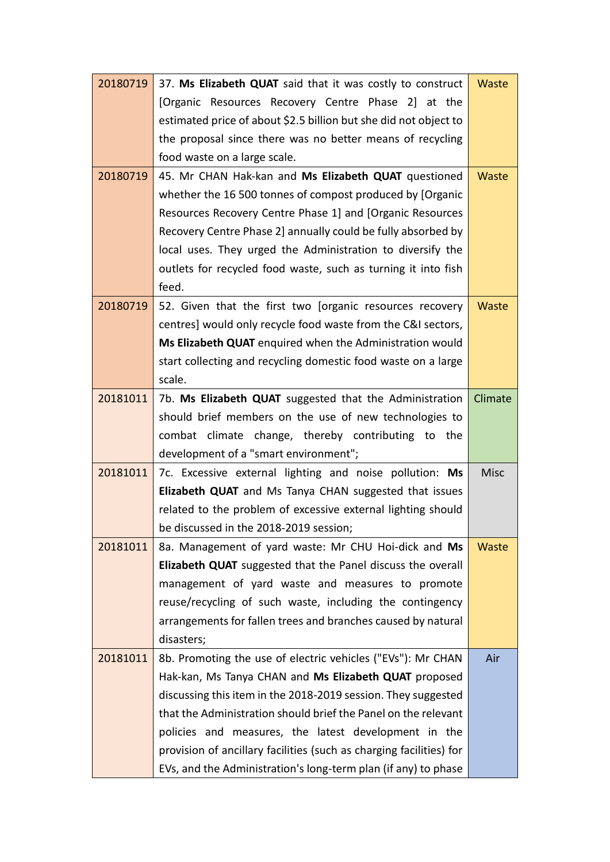| 20180719 | 37. Ms Elizabeth QUAT said that it was costly to construct                                                                            | Waste       |
|----------|---------------------------------------------------------------------------------------------------------------------------------------|-------------|
|          | [Organic Resources Recovery Centre Phase 2] at the                                                                                    |             |
|          | estimated price of about \$2.5 billion but she did not object to                                                                      |             |
|          | the proposal since there was no better means of recycling                                                                             |             |
|          | food waste on a large scale.                                                                                                          |             |
| 20180719 | 45. Mr CHAN Hak-kan and Ms Elizabeth QUAT questioned                                                                                  | Waste       |
|          | whether the 16 500 tonnes of compost produced by [Organic                                                                             |             |
|          | Resources Recovery Centre Phase 1] and [Organic Resources                                                                             |             |
|          | Recovery Centre Phase 2] annually could be fully absorbed by                                                                          |             |
|          | local uses. They urged the Administration to diversify the                                                                            |             |
|          | outlets for recycled food waste, such as turning it into fish                                                                         |             |
|          | feed.                                                                                                                                 |             |
| 20180719 | 52. Given that the first two [organic resources recovery                                                                              | Waste       |
|          | centres] would only recycle food waste from the C&I sectors,                                                                          |             |
|          | Ms Elizabeth QUAT enquired when the Administration would                                                                              |             |
|          | start collecting and recycling domestic food waste on a large                                                                         |             |
|          | scale.                                                                                                                                |             |
| 20181011 | 7b. Ms Elizabeth QUAT suggested that the Administration                                                                               | Climate     |
|          | should brief members on the use of new technologies to                                                                                |             |
|          | combat climate change, thereby contributing to the                                                                                    |             |
|          | development of a "smart environment";                                                                                                 |             |
| 20181011 | 7c. Excessive external lighting and noise pollution: Ms                                                                               | <b>Misc</b> |
|          | Elizabeth QUAT and Ms Tanya CHAN suggested that issues                                                                                |             |
|          | related to the problem of excessive external lighting should                                                                          |             |
|          | be discussed in the 2018-2019 session;                                                                                                |             |
| 20181011 |                                                                                                                                       |             |
|          | 8a. Management of yard waste: Mr CHU Hoi-dick and Ms                                                                                  | Waste       |
|          | Elizabeth QUAT suggested that the Panel discuss the overall                                                                           |             |
|          | management of yard waste and measures to promote                                                                                      |             |
|          | reuse/recycling of such waste, including the contingency                                                                              |             |
|          | arrangements for fallen trees and branches caused by natural                                                                          |             |
|          | disasters;                                                                                                                            |             |
| 20181011 | 8b. Promoting the use of electric vehicles ("EVs"): Mr CHAN                                                                           | Air         |
|          | Hak-kan, Ms Tanya CHAN and Ms Elizabeth QUAT proposed                                                                                 |             |
|          | discussing this item in the 2018-2019 session. They suggested                                                                         |             |
|          | that the Administration should brief the Panel on the relevant                                                                        |             |
|          | policies and measures, the latest development in the                                                                                  |             |
|          | provision of ancillary facilities (such as charging facilities) for<br>EVs, and the Administration's long-term plan (if any) to phase |             |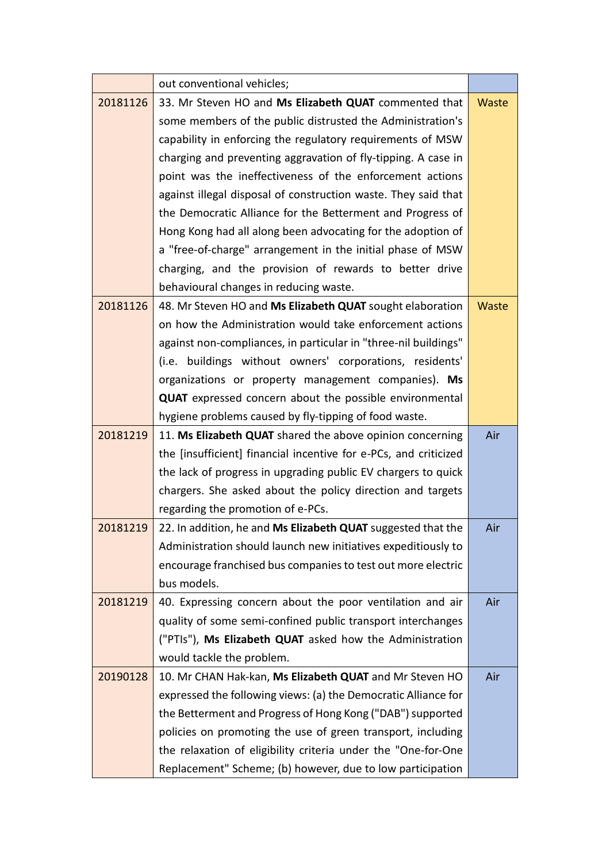|          | out conventional vehicles;                                       |              |
|----------|------------------------------------------------------------------|--------------|
| 20181126 | 33. Mr Steven HO and Ms Elizabeth QUAT commented that            | Waste        |
|          | some members of the public distrusted the Administration's       |              |
|          | capability in enforcing the regulatory requirements of MSW       |              |
|          | charging and preventing aggravation of fly-tipping. A case in    |              |
|          | point was the ineffectiveness of the enforcement actions         |              |
|          | against illegal disposal of construction waste. They said that   |              |
|          | the Democratic Alliance for the Betterment and Progress of       |              |
|          | Hong Kong had all along been advocating for the adoption of      |              |
|          | a "free-of-charge" arrangement in the initial phase of MSW       |              |
|          | charging, and the provision of rewards to better drive           |              |
|          | behavioural changes in reducing waste.                           |              |
| 20181126 | 48. Mr Steven HO and Ms Elizabeth QUAT sought elaboration        | <b>Waste</b> |
|          | on how the Administration would take enforcement actions         |              |
|          | against non-compliances, in particular in "three-nil buildings"  |              |
|          | (i.e. buildings without owners' corporations, residents'         |              |
|          | organizations or property management companies). Ms              |              |
|          | <b>QUAT</b> expressed concern about the possible environmental   |              |
|          | hygiene problems caused by fly-tipping of food waste.            |              |
| 20181219 | 11. Ms Elizabeth QUAT shared the above opinion concerning        | Air          |
|          | the [insufficient] financial incentive for e-PCs, and criticized |              |
|          | the lack of progress in upgrading public EV chargers to quick    |              |
|          | chargers. She asked about the policy direction and targets       |              |
|          | regarding the promotion of e-PCs.                                |              |
| 20181219 | 22. In addition, he and Ms Elizabeth QUAT suggested that the     | Air          |
|          | Administration should launch new initiatives expeditiously to    |              |
|          | encourage franchised bus companies to test out more electric     |              |
|          | bus models.                                                      |              |
| 20181219 | 40. Expressing concern about the poor ventilation and air        | Air          |
|          | quality of some semi-confined public transport interchanges      |              |
|          | ("PTIs"), Ms Elizabeth QUAT asked how the Administration         |              |
|          | would tackle the problem.                                        |              |
| 20190128 | 10. Mr CHAN Hak-kan, Ms Elizabeth QUAT and Mr Steven HO          | Air          |
|          | expressed the following views: (a) the Democratic Alliance for   |              |
|          | the Betterment and Progress of Hong Kong ("DAB") supported       |              |
|          | policies on promoting the use of green transport, including      |              |
|          | the relaxation of eligibility criteria under the "One-for-One    |              |
|          | Replacement" Scheme; (b) however, due to low participation       |              |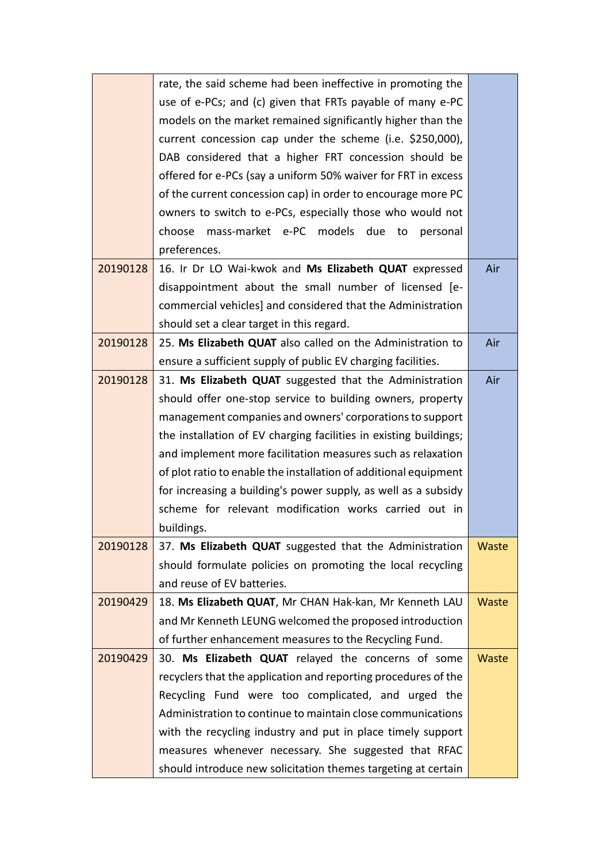|          | rate, the said scheme had been ineffective in promoting the       |       |
|----------|-------------------------------------------------------------------|-------|
|          | use of e-PCs; and (c) given that FRTs payable of many e-PC        |       |
|          | models on the market remained significantly higher than the       |       |
|          | current concession cap under the scheme (i.e. \$250,000),         |       |
|          | DAB considered that a higher FRT concession should be             |       |
|          | offered for e-PCs (say a uniform 50% waiver for FRT in excess     |       |
|          | of the current concession cap) in order to encourage more PC      |       |
|          | owners to switch to e-PCs, especially those who would not         |       |
|          | choose mass-market e-PC models due to<br>personal                 |       |
|          | preferences.                                                      |       |
| 20190128 | 16. Ir Dr LO Wai-kwok and Ms Elizabeth QUAT expressed             | Air   |
|          | disappointment about the small number of licensed [e-             |       |
|          | commercial vehicles] and considered that the Administration       |       |
|          | should set a clear target in this regard.                         |       |
| 20190128 | 25. Ms Elizabeth QUAT also called on the Administration to        | Air   |
|          | ensure a sufficient supply of public EV charging facilities.      |       |
| 20190128 | 31. Ms Elizabeth QUAT suggested that the Administration           | Air   |
|          | should offer one-stop service to building owners, property        |       |
|          | management companies and owners' corporations to support          |       |
|          | the installation of EV charging facilities in existing buildings; |       |
|          | and implement more facilitation measures such as relaxation       |       |
|          | of plot ratio to enable the installation of additional equipment  |       |
|          | for increasing a building's power supply, as well as a subsidy    |       |
|          | scheme for relevant modification works carried out in             |       |
|          | buildings.                                                        |       |
| 20190128 | 37. Ms Elizabeth QUAT suggested that the Administration           | Waste |
|          | should formulate policies on promoting the local recycling        |       |
|          | and reuse of EV batteries.                                        |       |
| 20190429 | 18. Ms Elizabeth QUAT, Mr CHAN Hak-kan, Mr Kenneth LAU            | Waste |
|          | and Mr Kenneth LEUNG welcomed the proposed introduction           |       |
|          | of further enhancement measures to the Recycling Fund.            |       |
| 20190429 | 30. Ms Elizabeth QUAT relayed the concerns of some                | Waste |
|          | recyclers that the application and reporting procedures of the    |       |
|          | Recycling Fund were too complicated, and urged the                |       |
|          | Administration to continue to maintain close communications       |       |
|          | with the recycling industry and put in place timely support       |       |
|          | measures whenever necessary. She suggested that RFAC              |       |
|          | should introduce new solicitation themes targeting at certain     |       |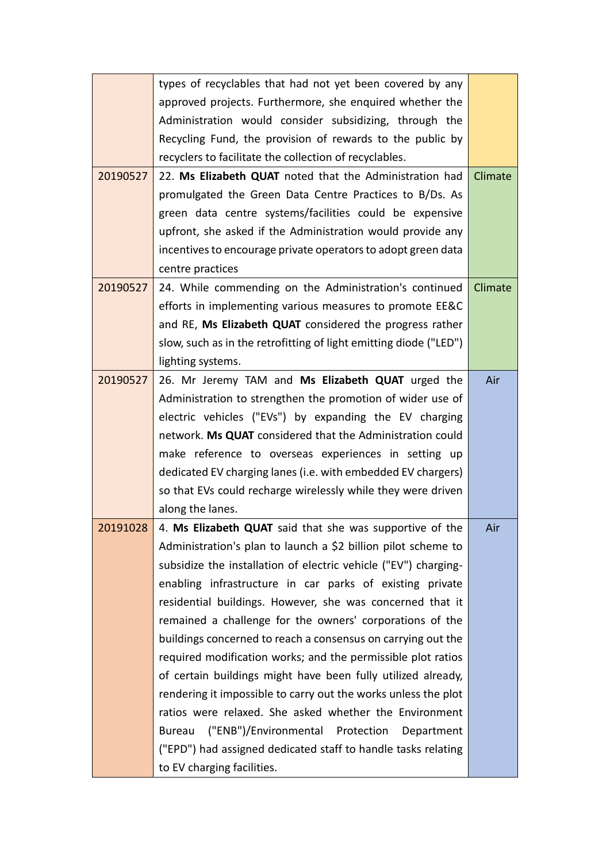|          | types of recyclables that had not yet been covered by any         |         |
|----------|-------------------------------------------------------------------|---------|
|          | approved projects. Furthermore, she enquired whether the          |         |
|          | Administration would consider subsidizing, through the            |         |
|          | Recycling Fund, the provision of rewards to the public by         |         |
|          | recyclers to facilitate the collection of recyclables.            |         |
| 20190527 | 22. Ms Elizabeth QUAT noted that the Administration had           | Climate |
|          | promulgated the Green Data Centre Practices to B/Ds. As           |         |
|          | green data centre systems/facilities could be expensive           |         |
|          | upfront, she asked if the Administration would provide any        |         |
|          | incentives to encourage private operators to adopt green data     |         |
|          | centre practices                                                  |         |
| 20190527 | 24. While commending on the Administration's continued            | Climate |
|          | efforts in implementing various measures to promote EE&C          |         |
|          | and RE, Ms Elizabeth QUAT considered the progress rather          |         |
|          | slow, such as in the retrofitting of light emitting diode ("LED") |         |
|          | lighting systems.                                                 |         |
| 20190527 | 26. Mr Jeremy TAM and Ms Elizabeth QUAT urged the                 | Air     |
|          | Administration to strengthen the promotion of wider use of        |         |
|          | electric vehicles ("EVs") by expanding the EV charging            |         |
|          | network. Ms QUAT considered that the Administration could         |         |
|          | make reference to overseas experiences in setting up              |         |
|          | dedicated EV charging lanes (i.e. with embedded EV chargers)      |         |
|          | so that EVs could recharge wirelessly while they were driven      |         |
|          | along the lanes.                                                  |         |
| 20191028 | 4. Ms Elizabeth QUAT said that she was supportive of the          | Air     |
|          | Administration's plan to launch a \$2 billion pilot scheme to     |         |
|          | subsidize the installation of electric vehicle ("EV") charging-   |         |
|          | enabling infrastructure in car parks of existing private          |         |
|          | residential buildings. However, she was concerned that it         |         |
|          | remained a challenge for the owners' corporations of the          |         |
|          | buildings concerned to reach a consensus on carrying out the      |         |
|          | required modification works; and the permissible plot ratios      |         |
|          | of certain buildings might have been fully utilized already,      |         |
|          | rendering it impossible to carry out the works unless the plot    |         |
|          | ratios were relaxed. She asked whether the Environment            |         |
|          | ("ENB")/Environmental Protection<br>Bureau<br>Department          |         |
|          | ("EPD") had assigned dedicated staff to handle tasks relating     |         |
|          | to EV charging facilities.                                        |         |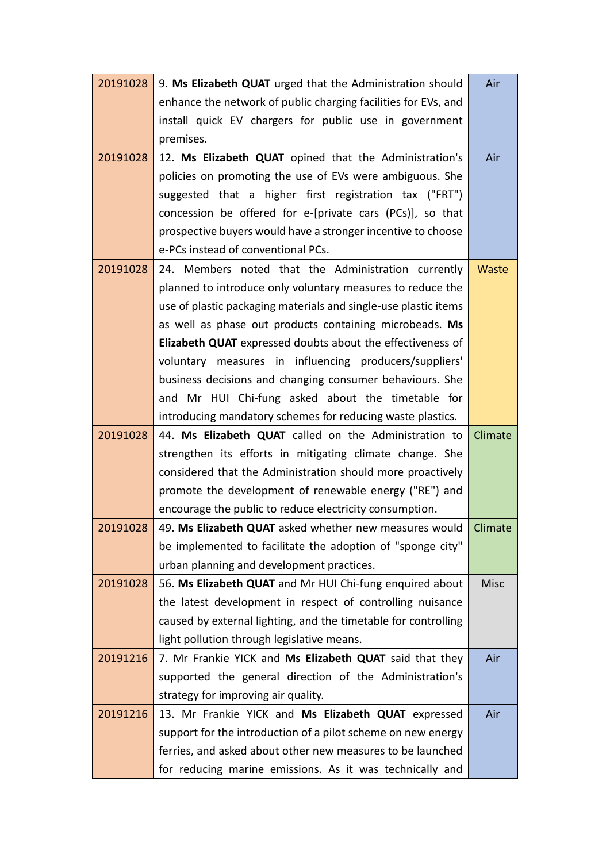| 20191028 | 9. Ms Elizabeth QUAT urged that the Administration should                                                              | Air         |
|----------|------------------------------------------------------------------------------------------------------------------------|-------------|
|          | enhance the network of public charging facilities for EVs, and                                                         |             |
|          | install quick EV chargers for public use in government                                                                 |             |
|          | premises.                                                                                                              |             |
| 20191028 | 12. Ms Elizabeth QUAT opined that the Administration's                                                                 | Air         |
|          | policies on promoting the use of EVs were ambiguous. She                                                               |             |
|          | suggested that a higher first registration tax ("FRT")                                                                 |             |
|          | concession be offered for e-[private cars (PCs)], so that                                                              |             |
|          | prospective buyers would have a stronger incentive to choose                                                           |             |
|          | e-PCs instead of conventional PCs.                                                                                     |             |
| 20191028 | 24. Members noted that the Administration currently                                                                    | Waste       |
|          | planned to introduce only voluntary measures to reduce the                                                             |             |
|          | use of plastic packaging materials and single-use plastic items                                                        |             |
|          | as well as phase out products containing microbeads. Ms                                                                |             |
|          | Elizabeth QUAT expressed doubts about the effectiveness of                                                             |             |
|          | voluntary measures in influencing producers/suppliers'                                                                 |             |
|          | business decisions and changing consumer behaviours. She                                                               |             |
|          | and Mr HUI Chi-fung asked about the timetable for                                                                      |             |
|          | introducing mandatory schemes for reducing waste plastics.                                                             |             |
| 20191028 | 44. Ms Elizabeth QUAT called on the Administration to                                                                  | Climate     |
|          | strengthen its efforts in mitigating climate change. She                                                               |             |
|          | considered that the Administration should more proactively                                                             |             |
|          | promote the development of renewable energy ("RE") and                                                                 |             |
|          | encourage the public to reduce electricity consumption.                                                                |             |
| 20191028 | 49. Ms Elizabeth QUAT asked whether new measures would                                                                 | Climate     |
|          | be implemented to facilitate the adoption of "sponge city"                                                             |             |
|          | urban planning and development practices.                                                                              |             |
| 20191028 | 56. Ms Elizabeth QUAT and Mr HUI Chi-fung enquired about                                                               | <b>Misc</b> |
|          | the latest development in respect of controlling nuisance                                                              |             |
|          | caused by external lighting, and the timetable for controlling                                                         |             |
|          | light pollution through legislative means.                                                                             |             |
| 20191216 | 7. Mr Frankie YICK and Ms Elizabeth QUAT said that they                                                                | Air         |
|          | supported the general direction of the Administration's                                                                |             |
|          |                                                                                                                        |             |
|          | strategy for improving air quality.                                                                                    |             |
| 20191216 | 13. Mr Frankie YICK and Ms Elizabeth QUAT expressed                                                                    | Air         |
|          | support for the introduction of a pilot scheme on new energy                                                           |             |
|          | ferries, and asked about other new measures to be launched<br>for reducing marine emissions. As it was technically and |             |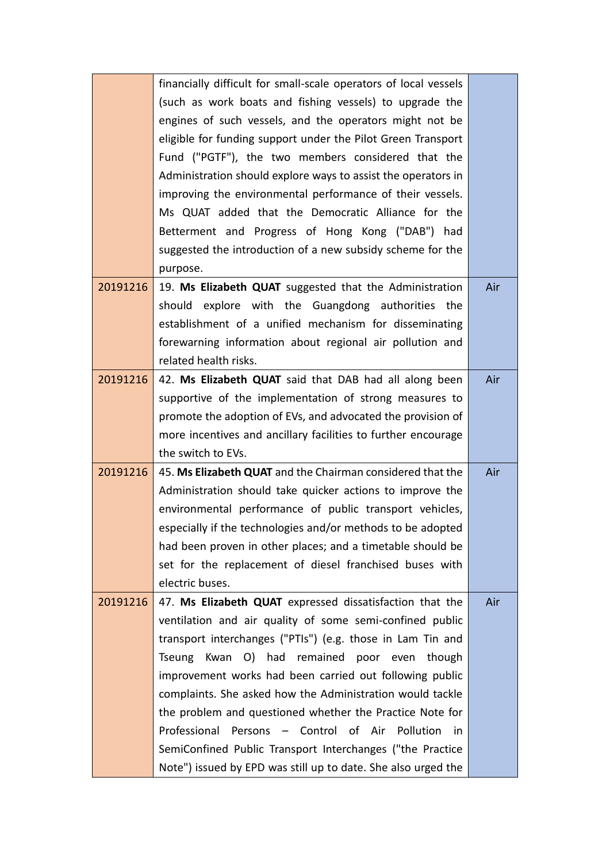|          | financially difficult for small-scale operators of local vessels |     |
|----------|------------------------------------------------------------------|-----|
|          | (such as work boats and fishing vessels) to upgrade the          |     |
|          | engines of such vessels, and the operators might not be          |     |
|          | eligible for funding support under the Pilot Green Transport     |     |
|          | Fund ("PGTF"), the two members considered that the               |     |
|          | Administration should explore ways to assist the operators in    |     |
|          | improving the environmental performance of their vessels.        |     |
|          | Ms QUAT added that the Democratic Alliance for the               |     |
|          | Betterment and Progress of Hong Kong ("DAB") had                 |     |
|          | suggested the introduction of a new subsidy scheme for the       |     |
|          | purpose.                                                         |     |
| 20191216 | 19. Ms Elizabeth QUAT suggested that the Administration          | Air |
|          | should explore with the Guangdong authorities the                |     |
|          | establishment of a unified mechanism for disseminating           |     |
|          | forewarning information about regional air pollution and         |     |
|          | related health risks.                                            |     |
| 20191216 | 42. Ms Elizabeth QUAT said that DAB had all along been           | Air |
|          | supportive of the implementation of strong measures to           |     |
|          | promote the adoption of EVs, and advocated the provision of      |     |
|          | more incentives and ancillary facilities to further encourage    |     |
|          | the switch to EVs.                                               |     |
| 20191216 | 45. Ms Elizabeth QUAT and the Chairman considered that the       | Air |
|          | Administration should take quicker actions to improve the        |     |
|          | environmental performance of public transport vehicles,          |     |
|          | especially if the technologies and/or methods to be adopted      |     |
|          | had been proven in other places; and a timetable should be       |     |
|          | set for the replacement of diesel franchised buses with          |     |
|          | electric buses.                                                  |     |
| 20191216 | 47. Ms Elizabeth QUAT expressed dissatisfaction that the         | Air |
|          | ventilation and air quality of some semi-confined public         |     |
|          | transport interchanges ("PTIs") (e.g. those in Lam Tin and       |     |
|          | Kwan O) had remained poor even though<br>Tseung                  |     |
|          | improvement works had been carried out following public          |     |
|          | complaints. She asked how the Administration would tackle        |     |
|          | the problem and questioned whether the Practice Note for         |     |
|          | Persons - Control of Air Pollution<br>Professional<br>in         |     |
|          | SemiConfined Public Transport Interchanges ("the Practice        |     |
|          | Note") issued by EPD was still up to date. She also urged the    |     |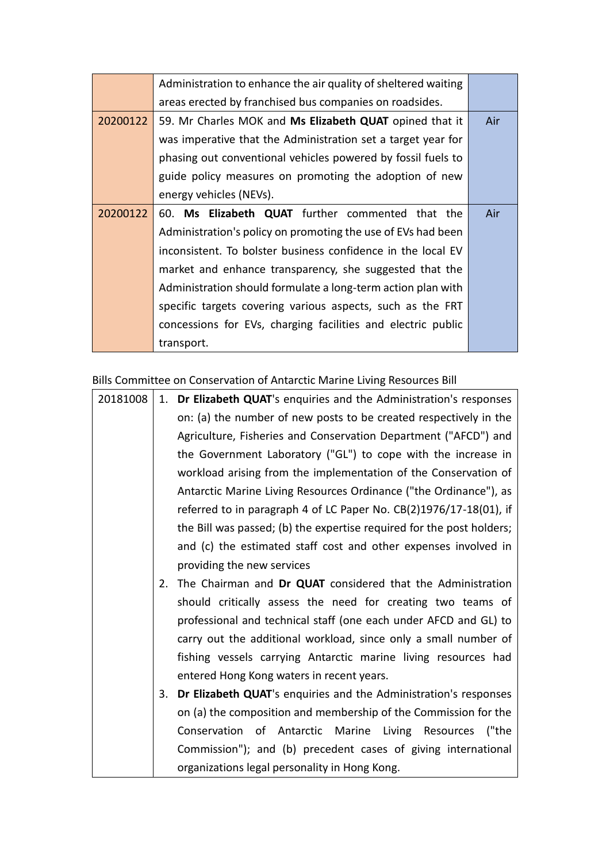|          | Administration to enhance the air quality of sheltered waiting |     |  |  |  |  |
|----------|----------------------------------------------------------------|-----|--|--|--|--|
|          | areas erected by franchised bus companies on roadsides.        |     |  |  |  |  |
| 20200122 | 59. Mr Charles MOK and Ms Elizabeth QUAT opined that it        | Air |  |  |  |  |
|          | was imperative that the Administration set a target year for   |     |  |  |  |  |
|          | phasing out conventional vehicles powered by fossil fuels to   |     |  |  |  |  |
|          | guide policy measures on promoting the adoption of new         |     |  |  |  |  |
|          | energy vehicles (NEVs).                                        |     |  |  |  |  |
| 20200122 | 60. Ms Elizabeth QUAT further commented that the               | Air |  |  |  |  |
|          | Administration's policy on promoting the use of EVs had been   |     |  |  |  |  |
|          | inconsistent. To bolster business confidence in the local EV   |     |  |  |  |  |
|          | market and enhance transparency, she suggested that the        |     |  |  |  |  |
|          | Administration should formulate a long-term action plan with   |     |  |  |  |  |
|          | specific targets covering various aspects, such as the FRT     |     |  |  |  |  |
|          | concessions for EVs, charging facilities and electric public   |     |  |  |  |  |
|          | transport.                                                     |     |  |  |  |  |

Bills Committee on Conservation of Antarctic Marine Living Resources Bill

| 20181008 |    | 1. Dr Elizabeth QUAT's enquiries and the Administration's responses   |
|----------|----|-----------------------------------------------------------------------|
|          |    | on: (a) the number of new posts to be created respectively in the     |
|          |    | Agriculture, Fisheries and Conservation Department ("AFCD") and       |
|          |    | the Government Laboratory ("GL") to cope with the increase in         |
|          |    | workload arising from the implementation of the Conservation of       |
|          |    | Antarctic Marine Living Resources Ordinance ("the Ordinance"), as     |
|          |    | referred to in paragraph 4 of LC Paper No. CB(2)1976/17-18(01), if    |
|          |    | the Bill was passed; (b) the expertise required for the post holders; |
|          |    | and (c) the estimated staff cost and other expenses involved in       |
|          |    | providing the new services                                            |
|          | 2. | The Chairman and Dr QUAT considered that the Administration           |
|          |    | should critically assess the need for creating two teams of           |
|          |    | professional and technical staff (one each under AFCD and GL) to      |
|          |    | carry out the additional workload, since only a small number of       |
|          |    | fishing vessels carrying Antarctic marine living resources had        |
|          |    | entered Hong Kong waters in recent years.                             |
|          | 3. | Dr Elizabeth QUAT's enquiries and the Administration's responses      |
|          |    | on (a) the composition and membership of the Commission for the       |
|          |    | Conservation of Antarctic Marine Living Resources<br>("the            |
|          |    | Commission"); and (b) precedent cases of giving international         |
|          |    | organizations legal personality in Hong Kong.                         |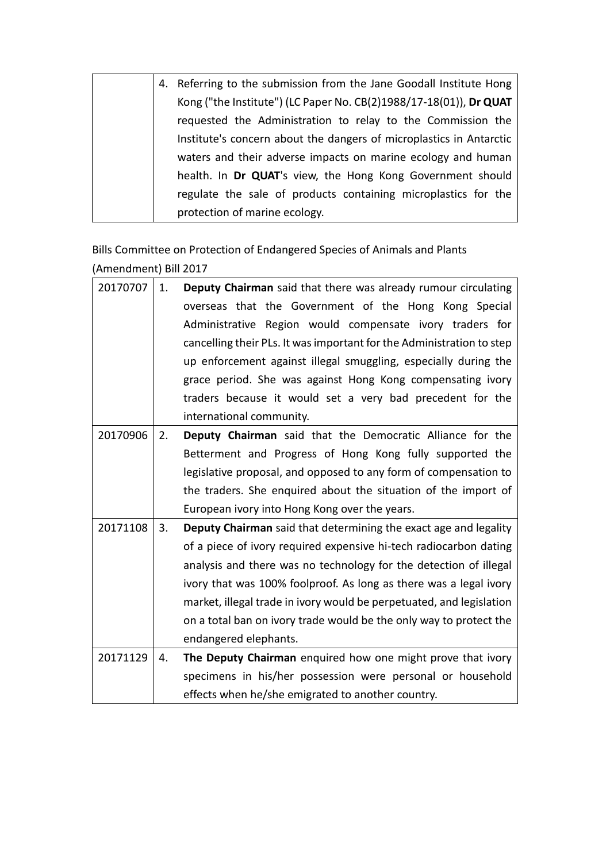| 4. Referring to the submission from the Jane Goodall Institute Hong |
|---------------------------------------------------------------------|
| Kong ("the Institute") (LC Paper No. CB(2)1988/17-18(01)), Dr QUAT  |
| requested the Administration to relay to the Commission the         |
| Institute's concern about the dangers of microplastics in Antarctic |
| waters and their adverse impacts on marine ecology and human        |
| health. In Dr QUAT's view, the Hong Kong Government should          |
| regulate the sale of products containing microplastics for the      |
| protection of marine ecology.                                       |

Bills Committee on Protection of Endangered Species of Animals and Plants (Amendment) Bill 2017

| 20170707 | 1. | Deputy Chairman said that there was already rumour circulating        |
|----------|----|-----------------------------------------------------------------------|
|          |    | overseas that the Government of the Hong Kong Special                 |
|          |    | Administrative Region would compensate ivory traders for              |
|          |    | cancelling their PLs. It was important for the Administration to step |
|          |    | up enforcement against illegal smuggling, especially during the       |
|          |    | grace period. She was against Hong Kong compensating ivory            |
|          |    | traders because it would set a very bad precedent for the             |
|          |    | international community.                                              |
| 20170906 | 2. | Deputy Chairman said that the Democratic Alliance for the             |
|          |    | Betterment and Progress of Hong Kong fully supported the              |
|          |    | legislative proposal, and opposed to any form of compensation to      |
|          |    | the traders. She enquired about the situation of the import of        |
|          |    | European ivory into Hong Kong over the years.                         |
| 20171108 | 3. | Deputy Chairman said that determining the exact age and legality      |
|          |    | of a piece of ivory required expensive hi-tech radiocarbon dating     |
|          |    | analysis and there was no technology for the detection of illegal     |
|          |    | ivory that was 100% foolproof. As long as there was a legal ivory     |
|          |    | market, illegal trade in ivory would be perpetuated, and legislation  |
|          |    | on a total ban on ivory trade would be the only way to protect the    |
|          |    | endangered elephants.                                                 |
| 20171129 | 4. | The Deputy Chairman enquired how one might prove that ivory           |
|          |    | specimens in his/her possession were personal or household            |
|          |    | effects when he/she emigrated to another country.                     |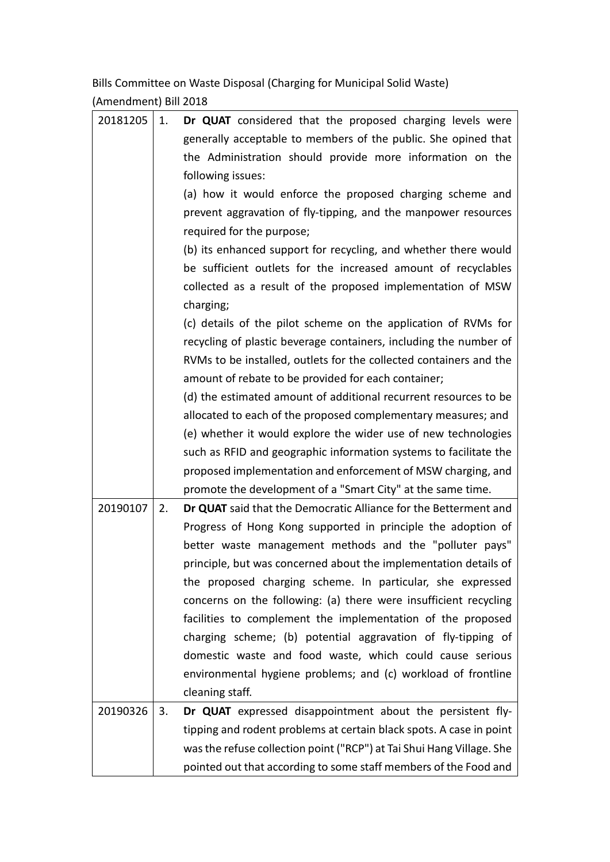Bills Committee on Waste Disposal (Charging for Municipal Solid Waste) (Amendment) Bill 2018

| 20181205 | 1. | Dr QUAT considered that the proposed charging levels were             |
|----------|----|-----------------------------------------------------------------------|
|          |    | generally acceptable to members of the public. She opined that        |
|          |    | the Administration should provide more information on the             |
|          |    | following issues:                                                     |
|          |    | (a) how it would enforce the proposed charging scheme and             |
|          |    | prevent aggravation of fly-tipping, and the manpower resources        |
|          |    | required for the purpose;                                             |
|          |    | (b) its enhanced support for recycling, and whether there would       |
|          |    | be sufficient outlets for the increased amount of recyclables         |
|          |    | collected as a result of the proposed implementation of MSW           |
|          |    | charging;                                                             |
|          |    | (c) details of the pilot scheme on the application of RVMs for        |
|          |    | recycling of plastic beverage containers, including the number of     |
|          |    | RVMs to be installed, outlets for the collected containers and the    |
|          |    | amount of rebate to be provided for each container;                   |
|          |    | (d) the estimated amount of additional recurrent resources to be      |
|          |    | allocated to each of the proposed complementary measures; and         |
|          |    | (e) whether it would explore the wider use of new technologies        |
|          |    | such as RFID and geographic information systems to facilitate the     |
|          |    | proposed implementation and enforcement of MSW charging, and          |
|          |    | promote the development of a "Smart City" at the same time.           |
| 20190107 | 2. | Dr QUAT said that the Democratic Alliance for the Betterment and      |
|          |    | Progress of Hong Kong supported in principle the adoption of          |
|          |    | better waste management methods and the "polluter pays"               |
|          |    | principle, but was concerned about the implementation details of      |
|          |    | the proposed charging scheme. In particular, she expressed            |
|          |    | concerns on the following: (a) there were insufficient recycling      |
|          |    | facilities to complement the implementation of the proposed           |
|          |    | charging scheme; (b) potential aggravation of fly-tipping of          |
|          |    | domestic waste and food waste, which could cause serious              |
|          |    | environmental hygiene problems; and (c) workload of frontline         |
|          |    | cleaning staff.                                                       |
| 20190326 | 3. | Dr QUAT expressed disappointment about the persistent fly-            |
|          |    | tipping and rodent problems at certain black spots. A case in point   |
|          |    | was the refuse collection point ("RCP") at Tai Shui Hang Village. She |
|          |    | pointed out that according to some staff members of the Food and      |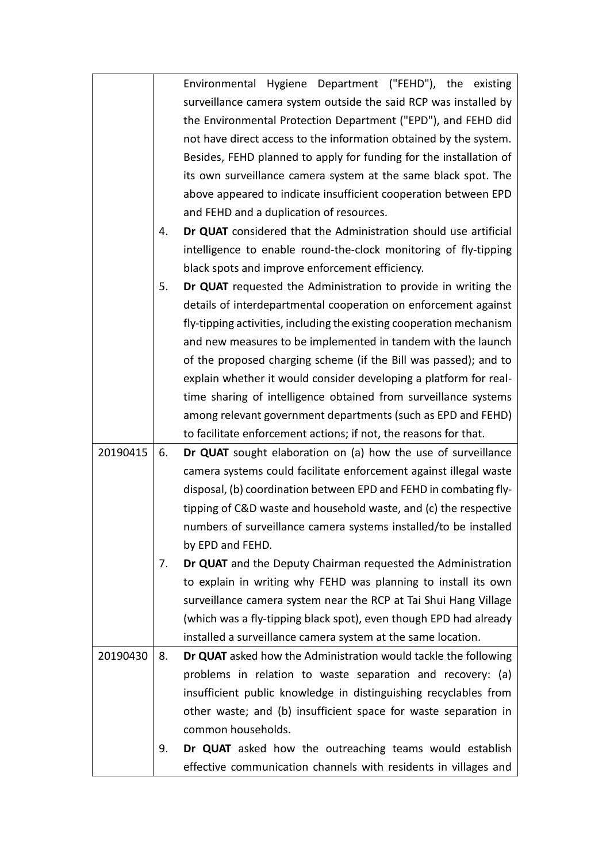|          |    | Environmental Hygiene Department ("FEHD"), the existing              |
|----------|----|----------------------------------------------------------------------|
|          |    | surveillance camera system outside the said RCP was installed by     |
|          |    | the Environmental Protection Department ("EPD"), and FEHD did        |
|          |    | not have direct access to the information obtained by the system.    |
|          |    | Besides, FEHD planned to apply for funding for the installation of   |
|          |    | its own surveillance camera system at the same black spot. The       |
|          |    | above appeared to indicate insufficient cooperation between EPD      |
|          |    | and FEHD and a duplication of resources.                             |
|          | 4. | Dr QUAT considered that the Administration should use artificial     |
|          |    | intelligence to enable round-the-clock monitoring of fly-tipping     |
|          |    | black spots and improve enforcement efficiency.                      |
|          | 5. | Dr QUAT requested the Administration to provide in writing the       |
|          |    | details of interdepartmental cooperation on enforcement against      |
|          |    | fly-tipping activities, including the existing cooperation mechanism |
|          |    | and new measures to be implemented in tandem with the launch         |
|          |    | of the proposed charging scheme (if the Bill was passed); and to     |
|          |    | explain whether it would consider developing a platform for real-    |
|          |    | time sharing of intelligence obtained from surveillance systems      |
|          |    | among relevant government departments (such as EPD and FEHD)         |
|          |    | to facilitate enforcement actions; if not, the reasons for that.     |
| 20190415 | 6. | Dr QUAT sought elaboration on (a) how the use of surveillance        |
|          |    | camera systems could facilitate enforcement against illegal waste    |
|          |    | disposal, (b) coordination between EPD and FEHD in combating fly-    |
|          |    | tipping of C&D waste and household waste, and (c) the respective     |
|          |    | numbers of surveillance camera systems installed/to be installed     |
|          |    | by EPD and FEHD.                                                     |
|          | 7. | Dr QUAT and the Deputy Chairman requested the Administration         |
|          |    | to explain in writing why FEHD was planning to install its own       |
|          |    | surveillance camera system near the RCP at Tai Shui Hang Village     |
|          |    | (which was a fly-tipping black spot), even though EPD had already    |
|          |    | installed a surveillance camera system at the same location.         |
| 20190430 | 8. | Dr QUAT asked how the Administration would tackle the following      |
|          |    | problems in relation to waste separation and recovery: (a)           |
|          |    | insufficient public knowledge in distinguishing recyclables from     |
|          |    | other waste; and (b) insufficient space for waste separation in      |
|          |    | common households.                                                   |
|          | 9. | Dr QUAT asked how the outreaching teams would establish              |
|          |    | effective communication channels with residents in villages and      |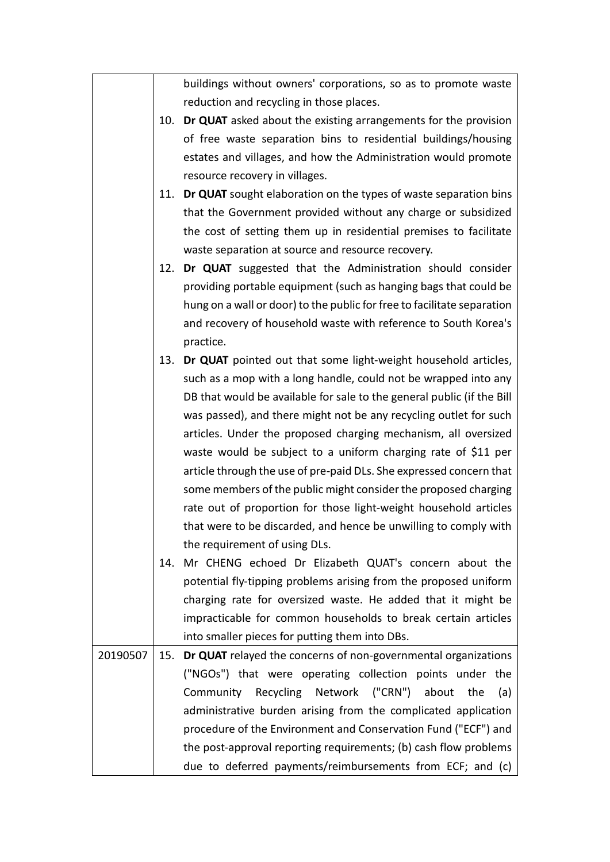|          |     | buildings without owners' corporations, so as to promote waste          |
|----------|-----|-------------------------------------------------------------------------|
|          |     | reduction and recycling in those places.                                |
|          | 10. | <b>Dr QUAT</b> asked about the existing arrangements for the provision  |
|          |     | of free waste separation bins to residential buildings/housing          |
|          |     | estates and villages, and how the Administration would promote          |
|          |     | resource recovery in villages.                                          |
|          |     | 11. Dr QUAT sought elaboration on the types of waste separation bins    |
|          |     | that the Government provided without any charge or subsidized           |
|          |     | the cost of setting them up in residential premises to facilitate       |
|          |     | waste separation at source and resource recovery.                       |
|          |     | 12. Dr QUAT suggested that the Administration should consider           |
|          |     | providing portable equipment (such as hanging bags that could be        |
|          |     | hung on a wall or door) to the public for free to facilitate separation |
|          |     | and recovery of household waste with reference to South Korea's         |
|          |     | practice.                                                               |
|          | 13. | Dr QUAT pointed out that some light-weight household articles,          |
|          |     | such as a mop with a long handle, could not be wrapped into any         |
|          |     | DB that would be available for sale to the general public (if the Bill  |
|          |     | was passed), and there might not be any recycling outlet for such       |
|          |     | articles. Under the proposed charging mechanism, all oversized          |
|          |     | waste would be subject to a uniform charging rate of \$11 per           |
|          |     | article through the use of pre-paid DLs. She expressed concern that     |
|          |     | some members of the public might consider the proposed charging         |
|          |     | rate out of proportion for those light-weight household articles        |
|          |     | that were to be discarded, and hence be unwilling to comply with        |
|          |     | the requirement of using DLs.                                           |
|          | 14. | Mr CHENG echoed Dr Elizabeth QUAT's concern about the                   |
|          |     | potential fly-tipping problems arising from the proposed uniform        |
|          |     | charging rate for oversized waste. He added that it might be            |
|          |     | impracticable for common households to break certain articles           |
|          |     | into smaller pieces for putting them into DBs.                          |
| 20190507 | 15. | Dr QUAT relayed the concerns of non-governmental organizations          |
|          |     | ("NGOs") that were operating collection points under the                |
|          |     | Community Recycling Network ("CRN")<br>about<br>the<br>(a)              |
|          |     | administrative burden arising from the complicated application          |
|          |     | procedure of the Environment and Conservation Fund ("ECF") and          |
|          |     | the post-approval reporting requirements; (b) cash flow problems        |
|          |     | due to deferred payments/reimbursements from ECF; and (c)               |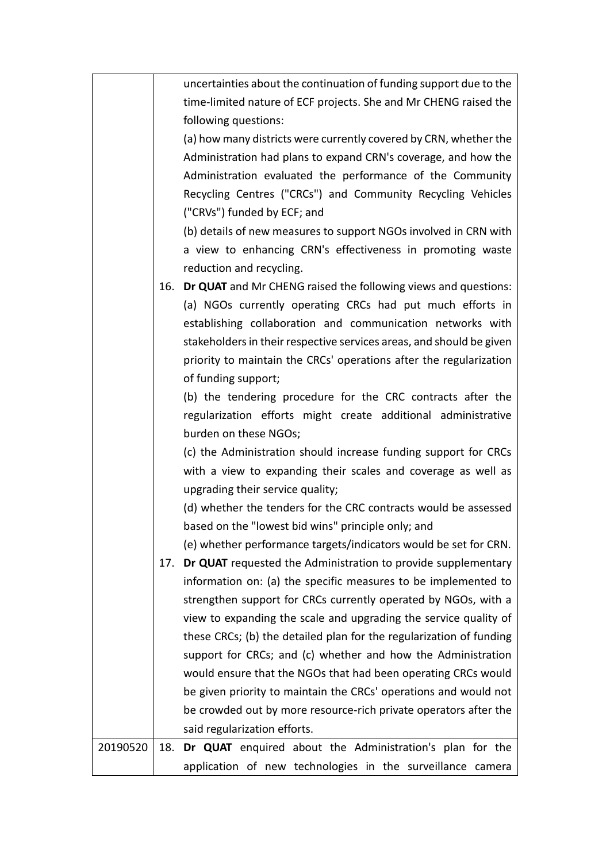|          |     | uncertainties about the continuation of funding support due to the<br>time-limited nature of ECF projects. She and Mr CHENG raised the |
|----------|-----|----------------------------------------------------------------------------------------------------------------------------------------|
|          |     | following questions:                                                                                                                   |
|          |     | (a) how many districts were currently covered by CRN, whether the                                                                      |
|          |     | Administration had plans to expand CRN's coverage, and how the                                                                         |
|          |     | Administration evaluated the performance of the Community                                                                              |
|          |     | Recycling Centres ("CRCs") and Community Recycling Vehicles                                                                            |
|          |     | ("CRVs") funded by ECF; and                                                                                                            |
|          |     | (b) details of new measures to support NGOs involved in CRN with                                                                       |
|          |     | a view to enhancing CRN's effectiveness in promoting waste                                                                             |
|          |     | reduction and recycling.                                                                                                               |
|          | 16. | Dr QUAT and Mr CHENG raised the following views and questions:                                                                         |
|          |     | (a) NGOs currently operating CRCs had put much efforts in                                                                              |
|          |     | establishing collaboration and communication networks with                                                                             |
|          |     | stakeholders in their respective services areas, and should be given                                                                   |
|          |     | priority to maintain the CRCs' operations after the regularization                                                                     |
|          |     | of funding support;                                                                                                                    |
|          |     | (b) the tendering procedure for the CRC contracts after the                                                                            |
|          |     | regularization efforts might create additional administrative                                                                          |
|          |     | burden on these NGOs;                                                                                                                  |
|          |     | (c) the Administration should increase funding support for CRCs                                                                        |
|          |     | with a view to expanding their scales and coverage as well as                                                                          |
|          |     | upgrading their service quality;                                                                                                       |
|          |     | (d) whether the tenders for the CRC contracts would be assessed                                                                        |
|          |     | based on the "lowest bid wins" principle only; and                                                                                     |
|          |     | (e) whether performance targets/indicators would be set for CRN.                                                                       |
|          | 17. | Dr QUAT requested the Administration to provide supplementary                                                                          |
|          |     | information on: (a) the specific measures to be implemented to                                                                         |
|          |     | strengthen support for CRCs currently operated by NGOs, with a                                                                         |
|          |     | view to expanding the scale and upgrading the service quality of                                                                       |
|          |     | these CRCs; (b) the detailed plan for the regularization of funding                                                                    |
|          |     | support for CRCs; and (c) whether and how the Administration                                                                           |
|          |     | would ensure that the NGOs that had been operating CRCs would                                                                          |
|          |     | be given priority to maintain the CRCs' operations and would not                                                                       |
|          |     | be crowded out by more resource-rich private operators after the                                                                       |
|          |     | said regularization efforts.                                                                                                           |
| 20190520 | 18. | Dr QUAT enquired about the Administration's plan for the                                                                               |
|          |     | application of new technologies in the surveillance camera                                                                             |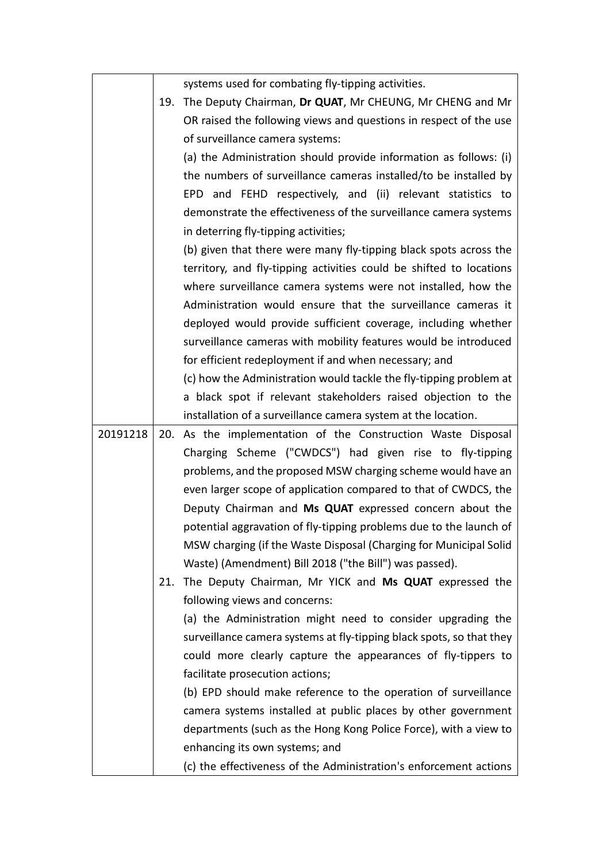|          |     | systems used for combating fly-tipping activities.                   |
|----------|-----|----------------------------------------------------------------------|
|          |     | 19. The Deputy Chairman, Dr QUAT, Mr CHEUNG, Mr CHENG and Mr         |
|          |     | OR raised the following views and questions in respect of the use    |
|          |     | of surveillance camera systems:                                      |
|          |     | (a) the Administration should provide information as follows: (i)    |
|          |     | the numbers of surveillance cameras installed/to be installed by     |
|          |     | EPD and FEHD respectively, and (ii) relevant statistics to           |
|          |     | demonstrate the effectiveness of the surveillance camera systems     |
|          |     | in deterring fly-tipping activities;                                 |
|          |     | (b) given that there were many fly-tipping black spots across the    |
|          |     | territory, and fly-tipping activities could be shifted to locations  |
|          |     | where surveillance camera systems were not installed, how the        |
|          |     | Administration would ensure that the surveillance cameras it         |
|          |     | deployed would provide sufficient coverage, including whether        |
|          |     | surveillance cameras with mobility features would be introduced      |
|          |     | for efficient redeployment if and when necessary; and                |
|          |     | (c) how the Administration would tackle the fly-tipping problem at   |
|          |     | a black spot if relevant stakeholders raised objection to the        |
|          |     | installation of a surveillance camera system at the location.        |
| 20191218 | 20. | As the implementation of the Construction Waste Disposal             |
|          |     | Charging Scheme ("CWDCS") had given rise to fly-tipping              |
|          |     | problems, and the proposed MSW charging scheme would have an         |
|          |     | even larger scope of application compared to that of CWDCS, the      |
|          |     | Deputy Chairman and Ms QUAT expressed concern about the              |
|          |     | potential aggravation of fly-tipping problems due to the launch of   |
|          |     | MSW charging (if the Waste Disposal (Charging for Municipal Solid    |
|          |     | Waste) (Amendment) Bill 2018 ("the Bill") was passed).               |
|          | 21. | The Deputy Chairman, Mr YICK and Ms QUAT expressed the               |
|          |     | following views and concerns:                                        |
|          |     | (a) the Administration might need to consider upgrading the          |
|          |     | surveillance camera systems at fly-tipping black spots, so that they |
|          |     | could more clearly capture the appearances of fly-tippers to         |
|          |     | facilitate prosecution actions;                                      |
|          |     | (b) EPD should make reference to the operation of surveillance       |
|          |     | camera systems installed at public places by other government        |
|          |     | departments (such as the Hong Kong Police Force), with a view to     |
|          |     | enhancing its own systems; and                                       |
|          |     | (c) the effectiveness of the Administration's enforcement actions    |